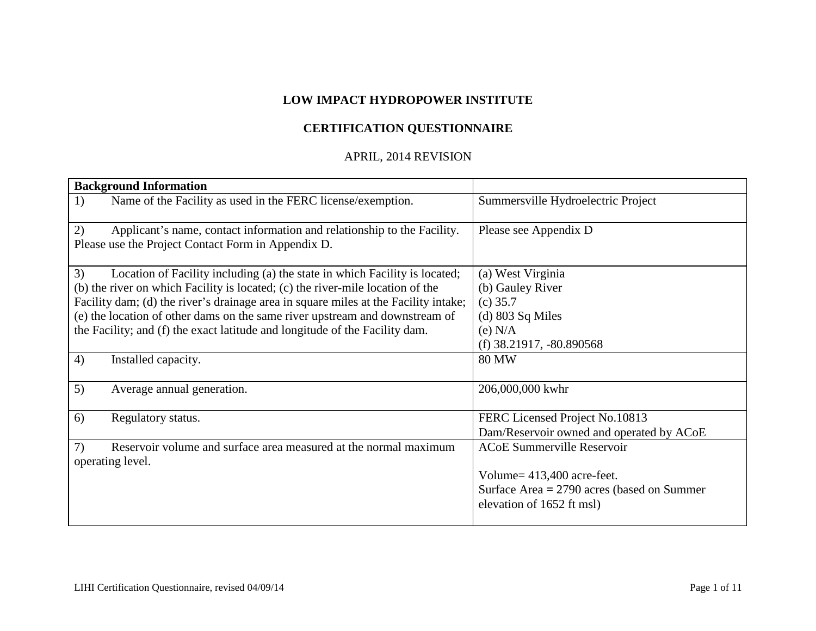## **LOW IMPACT HYDROPOWER INSTITUTE**

# **CERTIFICATION QUESTIONNAIRE**

## APRIL, 2014 REVISION

| <b>Background Information</b>                                                       |                                              |
|-------------------------------------------------------------------------------------|----------------------------------------------|
| Name of the Facility as used in the FERC license/exemption.<br>1)                   | Summersville Hydroelectric Project           |
| 2)<br>Applicant's name, contact information and relationship to the Facility.       | Please see Appendix D                        |
| Please use the Project Contact Form in Appendix D.                                  |                                              |
| 3)<br>Location of Facility including (a) the state in which Facility is located;    | (a) West Virginia                            |
| (b) the river on which Facility is located; (c) the river-mile location of the      | (b) Gauley River                             |
| Facility dam; (d) the river's drainage area in square miles at the Facility intake; | $(c)$ 35.7                                   |
| (e) the location of other dams on the same river upstream and downstream of         | $(d)$ 803 Sq Miles                           |
| the Facility; and (f) the exact latitude and longitude of the Facility dam.         | $(e)$ N/A                                    |
|                                                                                     | (f) $38.21917, -80.890568$                   |
| 4)<br>Installed capacity.                                                           | <b>80 MW</b>                                 |
| 5)<br>Average annual generation.                                                    | 206,000,000 kwhr                             |
| 6)<br>Regulatory status.                                                            | FERC Licensed Project No.10813               |
|                                                                                     | Dam/Reservoir owned and operated by ACoE     |
| 7)<br>Reservoir volume and surface area measured at the normal maximum              | <b>ACoE Summerville Reservoir</b>            |
| operating level.                                                                    |                                              |
|                                                                                     | Volume = $413,400$ acre-feet.                |
|                                                                                     | Surface Area $= 2790$ acres (based on Summer |
|                                                                                     | elevation of 1652 ft msl)                    |
|                                                                                     |                                              |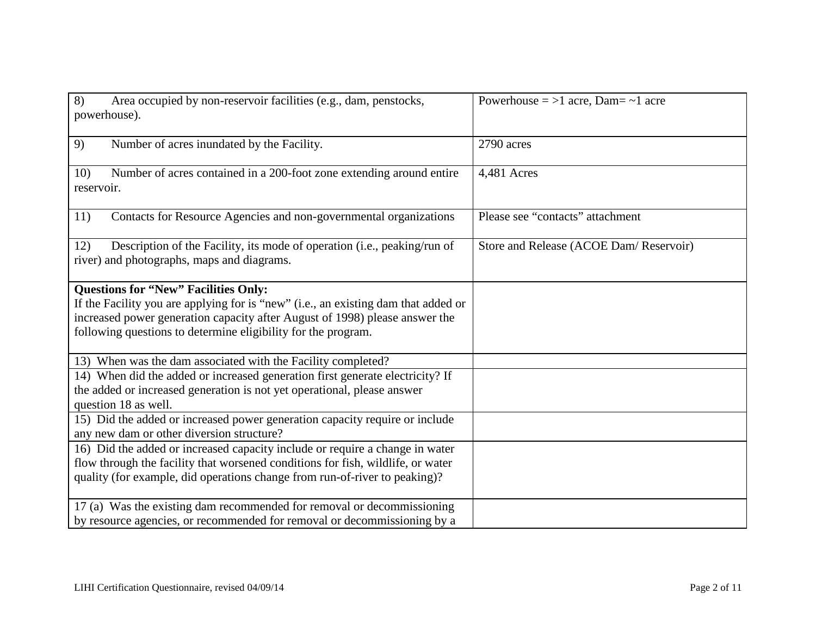| 8)<br>Area occupied by non-reservoir facilities (e.g., dam, penstocks,<br>powerhouse).                                                       | Powerhouse $=$ >1 acre, Dam $=$ $\sim$ 1 acre |
|----------------------------------------------------------------------------------------------------------------------------------------------|-----------------------------------------------|
| Number of acres inundated by the Facility.<br>9)                                                                                             | 2790 acres                                    |
| Number of acres contained in a 200-foot zone extending around entire<br>10)<br>reservoir.                                                    | 4,481 Acres                                   |
| Contacts for Resource Agencies and non-governmental organizations<br>11)                                                                     | Please see "contacts" attachment              |
| Description of the Facility, its mode of operation (i.e., peaking/run of<br>12)<br>river) and photographs, maps and diagrams.                | Store and Release (ACOE Dam/Reservoir)        |
| <b>Questions for "New" Facilities Only:</b>                                                                                                  |                                               |
| If the Facility you are applying for is "new" (i.e., an existing dam that added or                                                           |                                               |
| increased power generation capacity after August of 1998) please answer the<br>following questions to determine eligibility for the program. |                                               |
| 13) When was the dam associated with the Facility completed?                                                                                 |                                               |
| 14) When did the added or increased generation first generate electricity? If                                                                |                                               |
| the added or increased generation is not yet operational, please answer                                                                      |                                               |
| question 18 as well.                                                                                                                         |                                               |
| 15) Did the added or increased power generation capacity require or include<br>any new dam or other diversion structure?                     |                                               |
| 16) Did the added or increased capacity include or require a change in water                                                                 |                                               |
| flow through the facility that worsened conditions for fish, wildlife, or water                                                              |                                               |
| quality (for example, did operations change from run-of-river to peaking)?                                                                   |                                               |
| 17 (a) Was the existing dam recommended for removal or decommissioning                                                                       |                                               |
| by resource agencies, or recommended for removal or decommissioning by a                                                                     |                                               |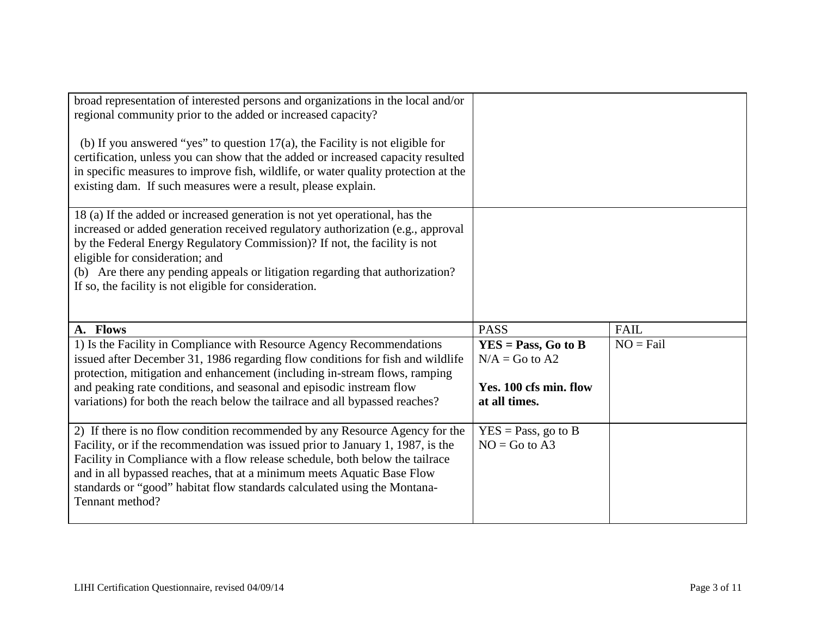| broad representation of interested persons and organizations in the local and/or<br>regional community prior to the added or increased capacity?<br>(b) If you answered "yes" to question $17(a)$ , the Facility is not eligible for<br>certification, unless you can show that the added or increased capacity resulted<br>in specific measures to improve fish, wildlife, or water quality protection at the<br>existing dam. If such measures were a result, please explain. |                                                                                      |             |
|---------------------------------------------------------------------------------------------------------------------------------------------------------------------------------------------------------------------------------------------------------------------------------------------------------------------------------------------------------------------------------------------------------------------------------------------------------------------------------|--------------------------------------------------------------------------------------|-------------|
| 18 (a) If the added or increased generation is not yet operational, has the<br>increased or added generation received regulatory authorization (e.g., approval<br>by the Federal Energy Regulatory Commission)? If not, the facility is not<br>eligible for consideration; and<br>(b) Are there any pending appeals or litigation regarding that authorization?<br>If so, the facility is not eligible for consideration.                                                       |                                                                                      |             |
| A. Flows                                                                                                                                                                                                                                                                                                                                                                                                                                                                        | <b>PASS</b>                                                                          | <b>FAIL</b> |
| 1) Is the Facility in Compliance with Resource Agency Recommendations<br>issued after December 31, 1986 regarding flow conditions for fish and wildlife<br>protection, mitigation and enhancement (including in-stream flows, ramping<br>and peaking rate conditions, and seasonal and episodic instream flow<br>variations) for both the reach below the tailrace and all bypassed reaches?                                                                                    | $YES = Pass, Go to B$<br>$N/A = Go$ to A2<br>Yes. 100 cfs min. flow<br>at all times. | $NO = Fail$ |
| 2) If there is no flow condition recommended by any Resource Agency for the<br>Facility, or if the recommendation was issued prior to January 1, 1987, is the<br>Facility in Compliance with a flow release schedule, both below the tailrace<br>and in all bypassed reaches, that at a minimum meets Aquatic Base Flow<br>standards or "good" habitat flow standards calculated using the Montana-                                                                             | $YES = Pass, go to B$<br>$NO = Go$ to A3                                             |             |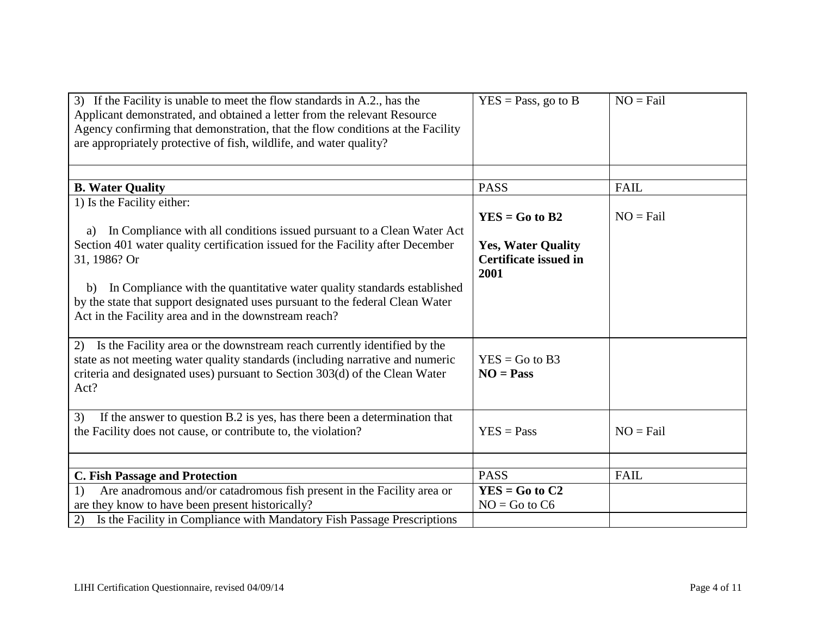| 3) If the Facility is unable to meet the flow standards in A.2., has the<br>Applicant demonstrated, and obtained a letter from the relevant Resource<br>Agency confirming that demonstration, that the flow conditions at the Facility<br>are appropriately protective of fish, wildlife, and water quality?                                                                                                                            | $YES = Pass$ , go to B                                                                | $NO = Fail$ |
|-----------------------------------------------------------------------------------------------------------------------------------------------------------------------------------------------------------------------------------------------------------------------------------------------------------------------------------------------------------------------------------------------------------------------------------------|---------------------------------------------------------------------------------------|-------------|
|                                                                                                                                                                                                                                                                                                                                                                                                                                         |                                                                                       |             |
| <b>B. Water Quality</b>                                                                                                                                                                                                                                                                                                                                                                                                                 | <b>PASS</b>                                                                           | <b>FAIL</b> |
| 1) Is the Facility either:<br>In Compliance with all conditions issued pursuant to a Clean Water Act<br>a)<br>Section 401 water quality certification issued for the Facility after December<br>31, 1986? Or<br>In Compliance with the quantitative water quality standards established<br>b)<br>by the state that support designated uses pursuant to the federal Clean Water<br>Act in the Facility area and in the downstream reach? | $YES = Go to B2$<br><b>Yes, Water Quality</b><br><b>Certificate issued in</b><br>2001 | $NO = Fail$ |
| Is the Facility area or the downstream reach currently identified by the<br>2)<br>state as not meeting water quality standards (including narrative and numeric<br>criteria and designated uses) pursuant to Section 303(d) of the Clean Water<br>Act?                                                                                                                                                                                  | $YES = Go to B3$<br>$NO = Pass$                                                       |             |
| If the answer to question B.2 is yes, has there been a determination that<br>3)<br>the Facility does not cause, or contribute to, the violation?                                                                                                                                                                                                                                                                                        | $YES = Pass$                                                                          | $NO = Fail$ |
|                                                                                                                                                                                                                                                                                                                                                                                                                                         |                                                                                       |             |
| <b>C. Fish Passage and Protection</b>                                                                                                                                                                                                                                                                                                                                                                                                   | <b>PASS</b>                                                                           | <b>FAIL</b> |
| Are anadromous and/or catadromous fish present in the Facility area or<br>1)<br>are they know to have been present historically?                                                                                                                                                                                                                                                                                                        | $YES = Go to C2$<br>$NO = Go$ to $C6$                                                 |             |
| Is the Facility in Compliance with Mandatory Fish Passage Prescriptions<br>2)                                                                                                                                                                                                                                                                                                                                                           |                                                                                       |             |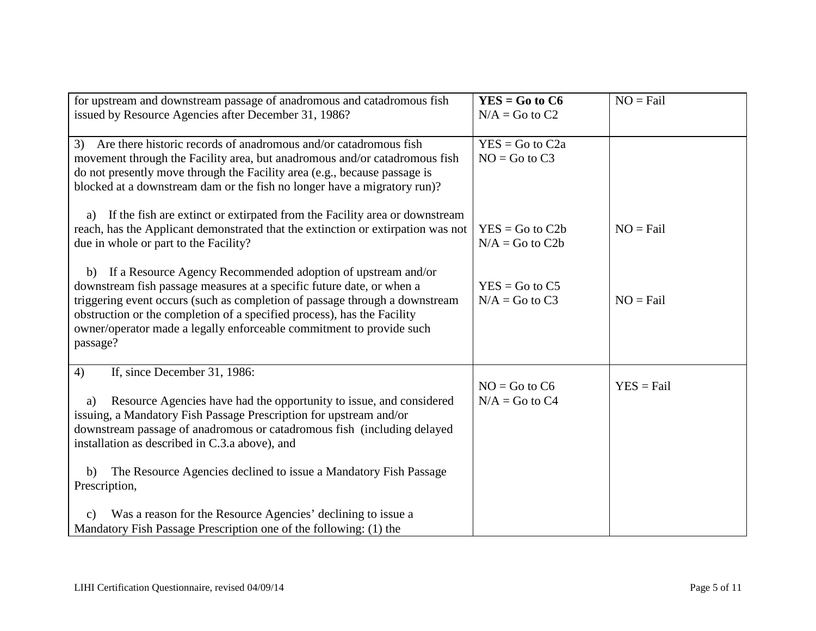| for upstream and downstream passage of anadromous and catadromous fish<br>issued by Resource Agencies after December 31, 1986?                                                                                                                                                                                                                                                                                | $YES = Go to C6$<br>$N/A = Go$ to $C2$   | $NO = Fail$  |
|---------------------------------------------------------------------------------------------------------------------------------------------------------------------------------------------------------------------------------------------------------------------------------------------------------------------------------------------------------------------------------------------------------------|------------------------------------------|--------------|
| Are there historic records of anadromous and/or catadromous fish<br>3)<br>movement through the Facility area, but anadromous and/or catadromous fish<br>do not presently move through the Facility area (e.g., because passage is<br>blocked at a downstream dam or the fish no longer have a migratory run)?                                                                                                 | $YES = Go to C2a$<br>$NO = Go$ to $C3$   |              |
| If the fish are extinct or extirpated from the Facility area or downstream<br>a)<br>reach, has the Applicant demonstrated that the extinction or extirpation was not<br>due in whole or part to the Facility?                                                                                                                                                                                                 | $YES = Go to C2b$<br>$N/A = Go$ to $C2b$ | $NO = Fail$  |
| b) If a Resource Agency Recommended adoption of upstream and/or<br>downstream fish passage measures at a specific future date, or when a<br>triggering event occurs (such as completion of passage through a downstream<br>obstruction or the completion of a specified process), has the Facility<br>owner/operator made a legally enforceable commitment to provide such<br>passage?                        | $YES = Go to C5$<br>$N/A = Go$ to C3     | $NO = Fail$  |
| If, since December 31, 1986:<br>4)<br>Resource Agencies have had the opportunity to issue, and considered<br>a)<br>issuing, a Mandatory Fish Passage Prescription for upstream and/or<br>downstream passage of anadromous or catadromous fish (including delayed<br>installation as described in C.3.a above), and<br>The Resource Agencies declined to issue a Mandatory Fish Passage<br>b)<br>Prescription, | $NO = Go$ to $C6$<br>$N/A = Go$ to C4    | $YES = Fail$ |
| Was a reason for the Resource Agencies' declining to issue a<br>$\mathbf{c})$<br>Mandatory Fish Passage Prescription one of the following: (1) the                                                                                                                                                                                                                                                            |                                          |              |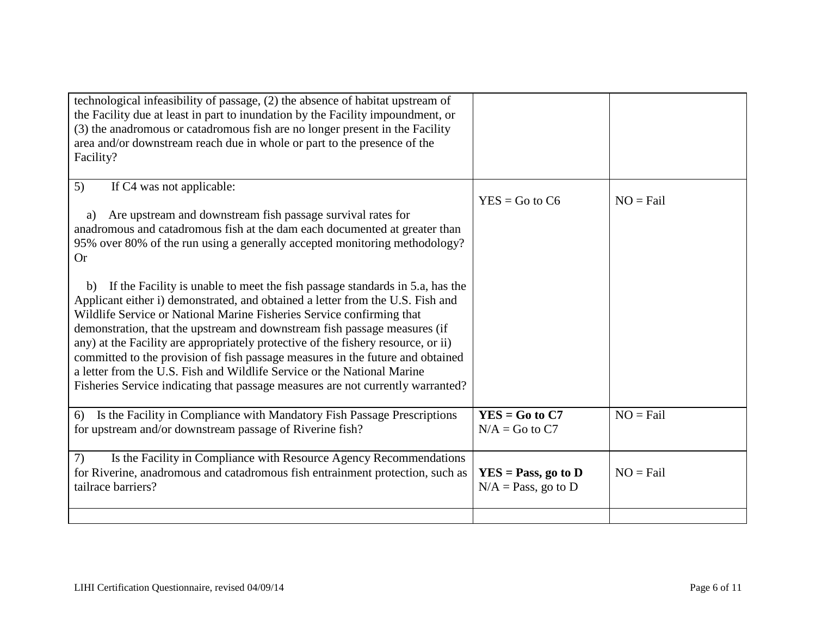| technological infeasibility of passage, (2) the absence of habitat upstream of<br>the Facility due at least in part to inundation by the Facility impoundment, or<br>(3) the anadromous or catadromous fish are no longer present in the Facility<br>area and/or downstream reach due in whole or part to the presence of the<br>Facility?                                                                                                                                                                                                                                                                                                                      |                                                 |             |
|-----------------------------------------------------------------------------------------------------------------------------------------------------------------------------------------------------------------------------------------------------------------------------------------------------------------------------------------------------------------------------------------------------------------------------------------------------------------------------------------------------------------------------------------------------------------------------------------------------------------------------------------------------------------|-------------------------------------------------|-------------|
| 5)<br>If C4 was not applicable:<br>Are upstream and downstream fish passage survival rates for<br>a)<br>anadromous and catadromous fish at the dam each documented at greater than<br>95% over 80% of the run using a generally accepted monitoring methodology?<br><b>Or</b>                                                                                                                                                                                                                                                                                                                                                                                   | $YES = Go to C6$                                | $NO = Fail$ |
| If the Facility is unable to meet the fish passage standards in 5.a, has the<br>b)<br>Applicant either i) demonstrated, and obtained a letter from the U.S. Fish and<br>Wildlife Service or National Marine Fisheries Service confirming that<br>demonstration, that the upstream and downstream fish passage measures (if<br>any) at the Facility are appropriately protective of the fishery resource, or ii)<br>committed to the provision of fish passage measures in the future and obtained<br>a letter from the U.S. Fish and Wildlife Service or the National Marine<br>Fisheries Service indicating that passage measures are not currently warranted? |                                                 |             |
| Is the Facility in Compliance with Mandatory Fish Passage Prescriptions<br>6)<br>for upstream and/or downstream passage of Riverine fish?                                                                                                                                                                                                                                                                                                                                                                                                                                                                                                                       | $YES = Go to C7$<br>$N/A = Go$ to $C7$          | $NO = Fail$ |
| 7)<br>Is the Facility in Compliance with Resource Agency Recommendations<br>for Riverine, anadromous and catadromous fish entrainment protection, such as<br>tailrace barriers?                                                                                                                                                                                                                                                                                                                                                                                                                                                                                 | $YES = Pass, go to D$<br>$N/A = Pass$ , go to D | $NO = Fail$ |
|                                                                                                                                                                                                                                                                                                                                                                                                                                                                                                                                                                                                                                                                 |                                                 |             |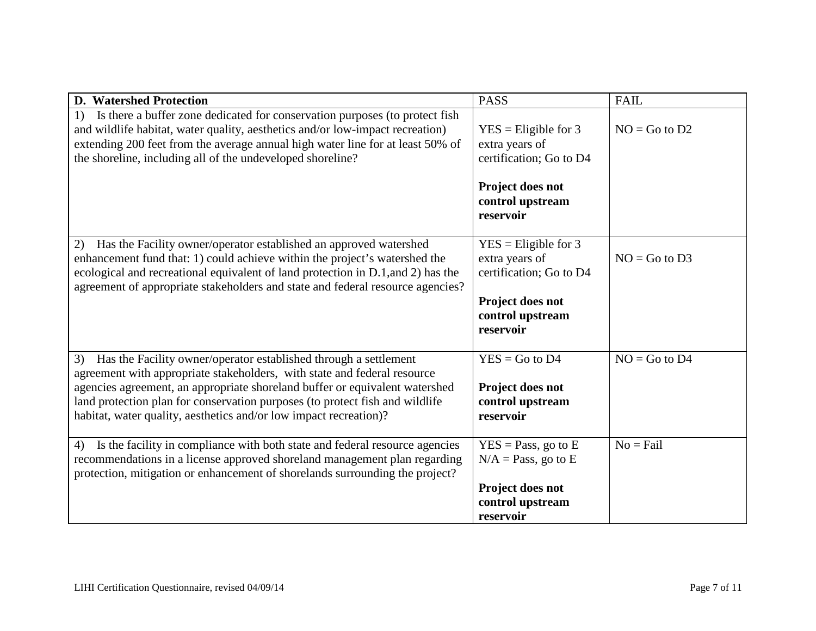| <b>D.</b> Watershed Protection                                                                                                                                                                                                                                                                                                                                                         | <b>PASS</b>                                                                                                           | <b>FAIL</b>       |
|----------------------------------------------------------------------------------------------------------------------------------------------------------------------------------------------------------------------------------------------------------------------------------------------------------------------------------------------------------------------------------------|-----------------------------------------------------------------------------------------------------------------------|-------------------|
| Is there a buffer zone dedicated for conservation purposes (to protect fish<br>1)<br>and wildlife habitat, water quality, aesthetics and/or low-impact recreation)<br>extending 200 feet from the average annual high water line for at least 50% of<br>the shoreline, including all of the undeveloped shoreline?                                                                     | $YES = Elizabeth for 3$<br>extra years of<br>certification; Go to D4                                                  | $NO = Go$ to $D2$ |
|                                                                                                                                                                                                                                                                                                                                                                                        | Project does not<br>control upstream<br>reservoir                                                                     |                   |
| Has the Facility owner/operator established an approved watershed<br>(2)<br>enhancement fund that: 1) could achieve within the project's watershed the<br>ecological and recreational equivalent of land protection in D.1, and 2) has the<br>agreement of appropriate stakeholders and state and federal resource agencies?                                                           | $YES = Elizabeth 3$<br>extra years of<br>certification; Go to D4<br>Project does not<br>control upstream<br>reservoir | $NO = Go$ to $D3$ |
| Has the Facility owner/operator established through a settlement<br>3)<br>agreement with appropriate stakeholders, with state and federal resource<br>agencies agreement, an appropriate shoreland buffer or equivalent watershed<br>land protection plan for conservation purposes (to protect fish and wildlife<br>habitat, water quality, aesthetics and/or low impact recreation)? | $YES = Go$ to D4<br>Project does not<br>control upstream<br>reservoir                                                 | $NO = Go$ to $D4$ |
| Is the facility in compliance with both state and federal resource agencies<br>4)<br>recommendations in a license approved shoreland management plan regarding<br>protection, mitigation or enhancement of shorelands surrounding the project?                                                                                                                                         | $YES = Pass, go to E$<br>$N/A = Pass$ , go to E<br>Project does not<br>control upstream<br>reservoir                  | $No = Fail$       |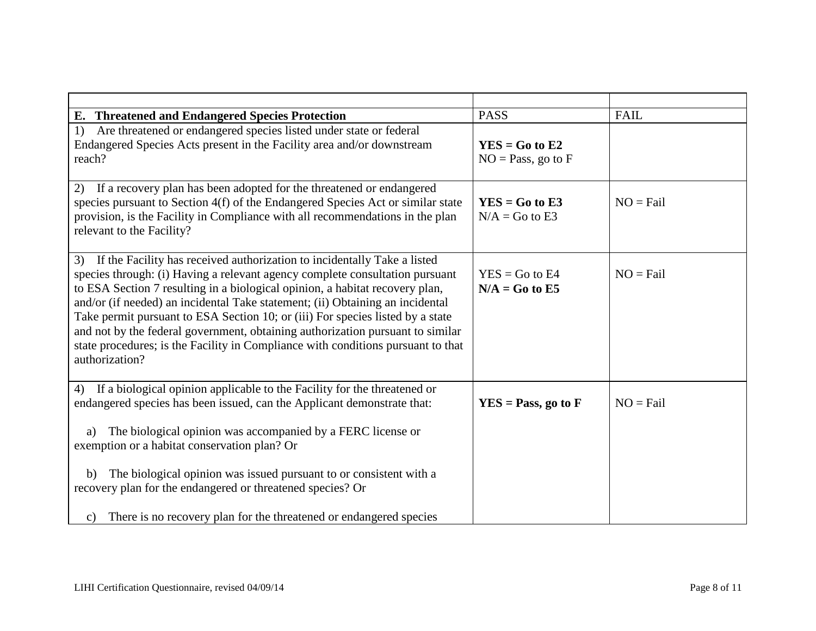| E. Threatened and Endangered Species Protection                                                                                                                                                                                                                                                                                                                                                                                                                                                                                                                                                           | <b>PASS</b>                                 | <b>FAIL</b> |
|-----------------------------------------------------------------------------------------------------------------------------------------------------------------------------------------------------------------------------------------------------------------------------------------------------------------------------------------------------------------------------------------------------------------------------------------------------------------------------------------------------------------------------------------------------------------------------------------------------------|---------------------------------------------|-------------|
| Are threatened or endangered species listed under state or federal<br>1)<br>Endangered Species Acts present in the Facility area and/or downstream<br>reach?                                                                                                                                                                                                                                                                                                                                                                                                                                              | $YES = Go to E2$<br>$NO = Pass$ , go to $F$ |             |
| If a recovery plan has been adopted for the threatened or endangered<br>2)<br>species pursuant to Section 4(f) of the Endangered Species Act or similar state<br>provision, is the Facility in Compliance with all recommendations in the plan<br>relevant to the Facility?                                                                                                                                                                                                                                                                                                                               | $YES = Go to E3$<br>$N/A = Go$ to E3        | $NO = Fail$ |
| If the Facility has received authorization to incidentally Take a listed<br>3)<br>species through: (i) Having a relevant agency complete consultation pursuant<br>to ESA Section 7 resulting in a biological opinion, a habitat recovery plan,<br>and/or (if needed) an incidental Take statement; (ii) Obtaining an incidental<br>Take permit pursuant to ESA Section 10; or (iii) For species listed by a state<br>and not by the federal government, obtaining authorization pursuant to similar<br>state procedures; is the Facility in Compliance with conditions pursuant to that<br>authorization? | $YES = Go to E4$<br>$N/A = Go$ to E5        | $NO = Fail$ |
| If a biological opinion applicable to the Facility for the threatened or<br>4)<br>endangered species has been issued, can the Applicant demonstrate that:<br>The biological opinion was accompanied by a FERC license or<br>a)<br>exemption or a habitat conservation plan? Or                                                                                                                                                                                                                                                                                                                            | $YES = Pass, go to F$                       | $NO = Fail$ |
| The biological opinion was issued pursuant to or consistent with a<br>b)<br>recovery plan for the endangered or threatened species? Or                                                                                                                                                                                                                                                                                                                                                                                                                                                                    |                                             |             |
| c) There is no recovery plan for the threatened or endangered species                                                                                                                                                                                                                                                                                                                                                                                                                                                                                                                                     |                                             |             |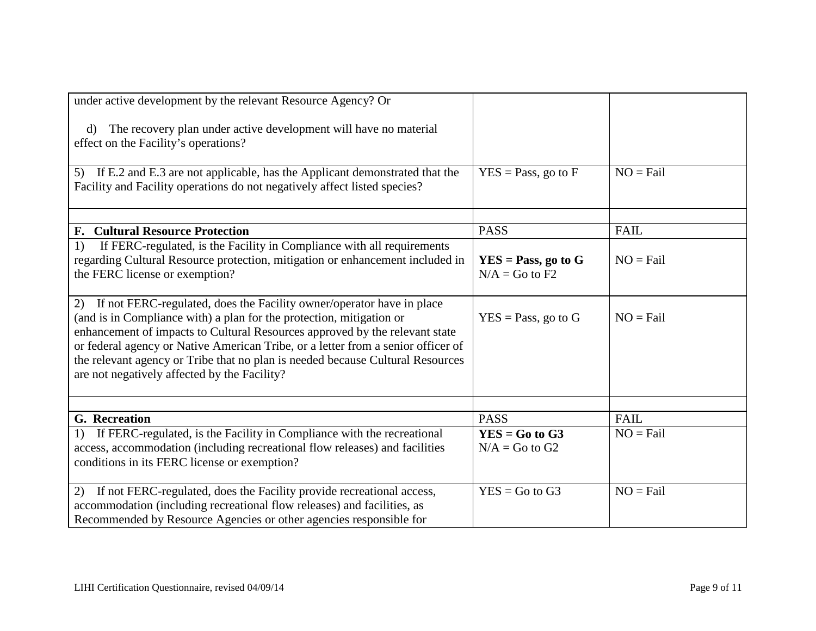| under active development by the relevant Resource Agency? Or<br>The recovery plan under active development will have no material<br>$\mathbf{d}$<br>effect on the Facility's operations?                                                                                                                                                                                                                                                                 |                                           |             |
|----------------------------------------------------------------------------------------------------------------------------------------------------------------------------------------------------------------------------------------------------------------------------------------------------------------------------------------------------------------------------------------------------------------------------------------------------------|-------------------------------------------|-------------|
| If E.2 and E.3 are not applicable, has the Applicant demonstrated that the<br>5)<br>Facility and Facility operations do not negatively affect listed species?                                                                                                                                                                                                                                                                                            | $YES = Pass, go to F$                     | $NO = Fail$ |
| <b>F. Cultural Resource Protection</b>                                                                                                                                                                                                                                                                                                                                                                                                                   | <b>PASS</b>                               | FAIL        |
| If FERC-regulated, is the Facility in Compliance with all requirements<br>1)<br>regarding Cultural Resource protection, mitigation or enhancement included in<br>the FERC license or exemption?                                                                                                                                                                                                                                                          | $YES = Pass, go to G$<br>$N/A = Go$ to F2 | $NO = Fail$ |
| If not FERC-regulated, does the Facility owner/operator have in place<br>2)<br>(and is in Compliance with) a plan for the protection, mitigation or<br>enhancement of impacts to Cultural Resources approved by the relevant state<br>or federal agency or Native American Tribe, or a letter from a senior officer of<br>the relevant agency or Tribe that no plan is needed because Cultural Resources<br>are not negatively affected by the Facility? | $YES = Pass$ , go to G                    | $NO = Fail$ |
| G. Recreation                                                                                                                                                                                                                                                                                                                                                                                                                                            | <b>PASS</b>                               | <b>FAIL</b> |
| If FERC-regulated, is the Facility in Compliance with the recreational<br>1)<br>access, accommodation (including recreational flow releases) and facilities<br>conditions in its FERC license or exemption?                                                                                                                                                                                                                                              | $YES = Go to G3$<br>$N/A = Go$ to $G2$    | $NO = Fail$ |
| If not FERC-regulated, does the Facility provide recreational access,<br>(2)<br>accommodation (including recreational flow releases) and facilities, as<br>Recommended by Resource Agencies or other agencies responsible for                                                                                                                                                                                                                            | $YES = Go to G3$                          | $NO = Fail$ |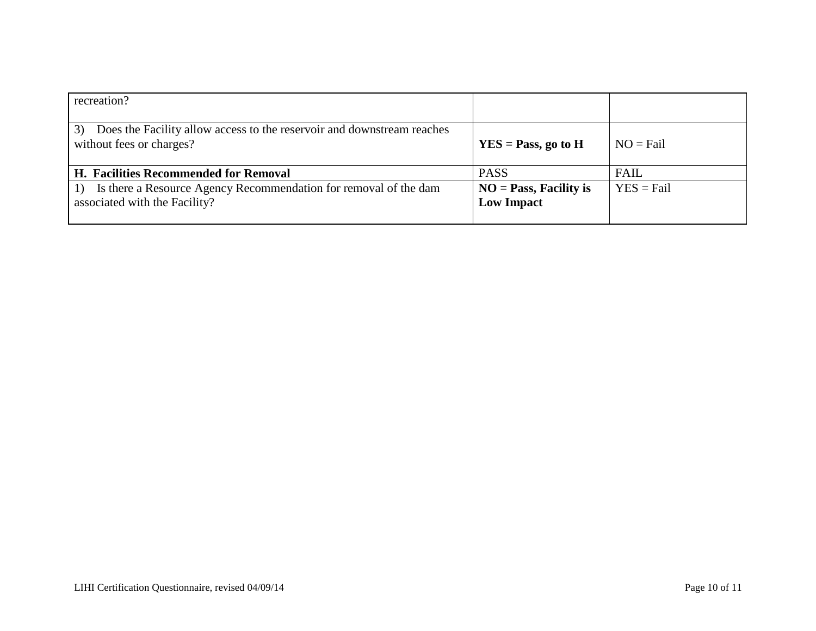| recreation?                                                                                              |                                               |              |
|----------------------------------------------------------------------------------------------------------|-----------------------------------------------|--------------|
| Does the Facility allow access to the reservoir and downstream reaches<br>3)<br>without fees or charges? | $YES = Pass, go to H$                         | $NO = Fail$  |
| <b>H. Facilities Recommended for Removal</b>                                                             | <b>PASS</b>                                   | <b>FAIL</b>  |
| Is there a Resource Agency Recommendation for removal of the dam<br>associated with the Facility?        | $NO = Pass, Facility$ is<br><b>Low Impact</b> | $YES = Fail$ |